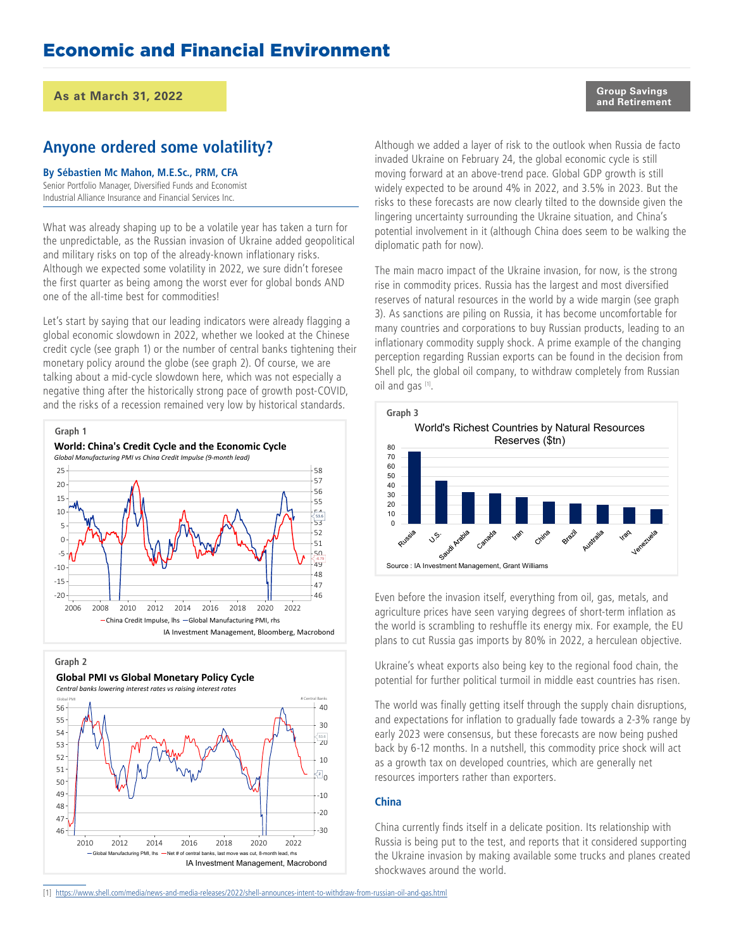#### **As at March 31, 2022**

### **Anyone ordered some volatility?**

#### **By Sébastien Mc Mahon, M.E.Sc., PRM, CFA**

Senior Portfolio Manager, Diversified Funds and Economist Industrial Alliance Insurance and Financial Services Inc.

What was already shaping up to be a volatile year has taken a turn for the unpredictable, as the Russian invasion of Ukraine added geopolitical and military risks on top of the already-known inflationary risks. Although we expected some volatility in 2022, we sure didn't foresee the first quarter as being among the worst ever for global bonds AND one of the all-time best for commodities!

Let's start by saying that our leading indicators were already flagging a global economic slowdown in 2022, whether we looked at the Chinese credit cycle (see graph 1) or the number of central banks tightening their monetary policy around the globe (see graph 2). Of course, we are talking about a mid-cycle slowdown here, which was not especially a negative thing after the historically strong pace of growth post-COVID, and the risks of a recession remained very low by historical standards.



**Graph 2**



Global PMI vs Global Monetary Policy Cycle

Although we added a layer of risk to the outlook when Russia de facto invaded Ukraine on February 24, the global economic cycle is still moving forward at an above-trend pace. Global GDP growth is still widely expected to be around 4% in 2022, and 3.5% in 2023. But the risks to these forecasts are now clearly tilted to the downside given the lingering uncertainty surrounding the Ukraine situation, and China's potential involvement in it (although China does seem to be walking the diplomatic path for now).

The main macro impact of the Ukraine invasion, for now, is the strong rise in commodity prices. Russia has the largest and most diversified reserves of natural resources in the world by a wide margin (see graph 3). As sanctions are piling on Russia, it has become uncomfortable for many countries and corporations to buy Russian products, leading to an inflationary commodity supply shock. A prime example of the changing perception regarding Russian exports can be found in the decision from Shell plc, the global oil company, to withdraw completely from Russian oil and gas [1].



Even before the invasion itself, everything from oil, gas, metals, and agriculture prices have seen varying degrees of short-term inflation as the world is scrambling to reshuffle its energy mix. For example, the EU plans to cut Russia gas imports by 80% in 2022, a herculean objective.

Ukraine's wheat exports also being key to the regional food chain, the potential for further political turmoil in middle east countries has risen.

The world was finally getting itself through the supply chain disruptions, and expectations for inflation to gradually fade towards a 2-3% range by early 2023 were consensus, but these forecasts are now being pushed back by 6-12 months. In a nutshell, this commodity price shock will act as a growth tax on developed countries, which are generally net resources importers rather than exporters.

#### **China**

China currently finds itself in a delicate position. Its relationship with Russia is being put to the test, and reports that it considered supporting the Ukraine invasion by making available some trucks and planes created shockwaves around the world.

[1] <https://www.shell.com/media/news-and-media-releases/2022/shell-announces-intent-to-withdraw-from-russian-oil-and-gas.html>

**Group Savings and Retirement**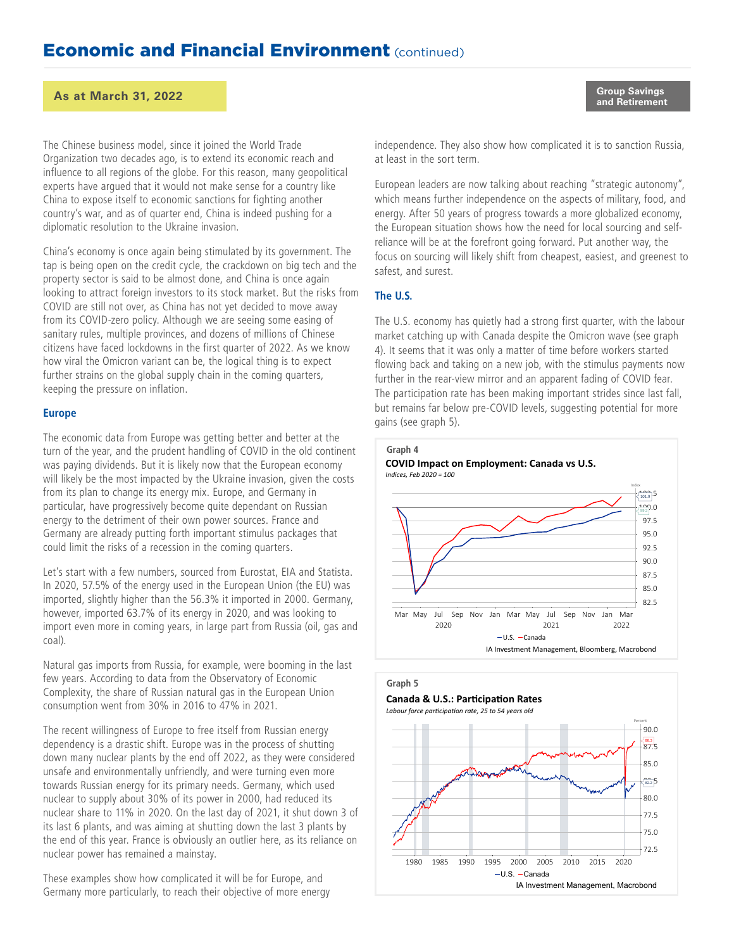#### **and Retirement As at March 31, 2022**

The Chinese business model, since it joined the World Trade Organization two decades ago, is to extend its economic reach and influence to all regions of the globe. For this reason, many geopolitical experts have argued that it would not make sense for a country like China to expose itself to economic sanctions for fighting another country's war, and as of quarter end, China is indeed pushing for a diplomatic resolution to the Ukraine invasion.

China's economy is once again being stimulated by its government. The tap is being open on the credit cycle, the crackdown on big tech and the property sector is said to be almost done, and China is once again looking to attract foreign investors to its stock market. But the risks from COVID are still not over, as China has not yet decided to move away from its COVID-zero policy. Although we are seeing some easing of sanitary rules, multiple provinces, and dozens of millions of Chinese citizens have faced lockdowns in the first quarter of 2022. As we know how viral the Omicron variant can be, the logical thing is to expect further strains on the global supply chain in the coming quarters, keeping the pressure on inflation.

#### **Europe**

The economic data from Europe was getting better and better at the turn of the year, and the prudent handling of COVID in the old continent was paying dividends. But it is likely now that the European economy will likely be the most impacted by the Ukraine invasion, given the costs from its plan to change its energy mix. Europe, and Germany in particular, have progressively become quite dependant on Russian energy to the detriment of their own power sources. France and Germany are already putting forth important stimulus packages that could limit the risks of a recession in the coming quarters.

Let's start with a few numbers, sourced from Eurostat, EIA and Statista. In 2020, 57.5% of the energy used in the European Union (the EU) was imported, slightly higher than the 56.3% it imported in 2000. Germany, however, imported 63.7% of its energy in 2020, and was looking to import even more in coming years, in large part from Russia (oil, gas and coal).

Natural gas imports from Russia, for example, were booming in the last few years. According to data from the Observatory of Economic Complexity, the share of Russian natural gas in the European Union consumption went from 30% in 2016 to 47% in 2021.

The recent willingness of Europe to free itself from Russian energy dependency is a drastic shift. Europe was in the process of shutting down many nuclear plants by the end off 2022, as they were considered unsafe and environmentally unfriendly, and were turning even more towards Russian energy for its primary needs. Germany, which used nuclear to supply about 30% of its power in 2000, had reduced its nuclear share to 11% in 2020. On the last day of 2021, it shut down 3 of its last 6 plants, and was aiming at shutting down the last 3 plants by the end of this year. France is obviously an outlier here, as its reliance on nuclear power has remained a mainstay.

These examples show how complicated it will be for Europe, and Germany more particularly, to reach their objective of more energy independence. They also show how complicated it is to sanction Russia, at least in the sort term.

European leaders are now talking about reaching "strategic autonomy", which means further independence on the aspects of military, food, and energy. After 50 years of progress towards a more globalized economy, the European situation shows how the need for local sourcing and selfreliance will be at the forefront going forward. Put another way, the focus on sourcing will likely shift from cheapest, easiest, and greenest to safest, and surest.

#### **The U.S.**

The U.S. economy has quietly had a strong first quarter, with the labour market catching up with Canada despite the Omicron wave (see graph 4). It seems that it was only a matter of time before workers started flowing back and taking on a new job, with the stimulus payments now further in the rear-view mirror and an apparent fading of COVID fear. The participation rate has been making important strides since last fall, but remains far below pre-COVID levels, suggesting potential for more gains (see graph 5).



#### **Graph 5**



Labour force participation rate, 25 to 54 years old



**Group Savings**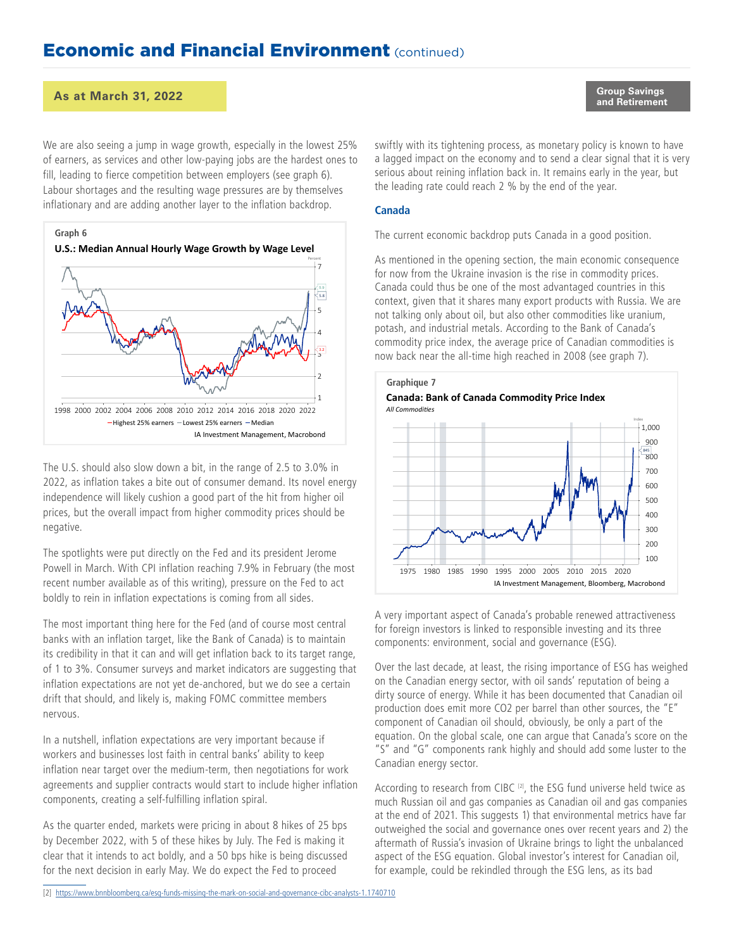#### **and Retirement As at March 31, 2022**

We are also seeing a jump in wage growth, especially in the lowest 25% of earners, as services and other low-paying jobs are the hardest ones to fill, leading to fierce competition between employers (see graph 6). Labour shortages and the resulting wage pressures are by themselves inflationary and are adding another layer to the inflation backdrop.



The U.S. should also slow down a bit, in the range of 2.5 to 3.0% in 2022, as inflation takes a bite out of consumer demand. Its novel energy independence will likely cushion a good part of the hit from higher oil prices, but the overall impact from higher commodity prices should be negative.

The spotlights were put directly on the Fed and its president Jerome Powell in March. With CPI inflation reaching 7.9% in February (the most recent number available as of this writing), pressure on the Fed to act boldly to rein in inflation expectations is coming from all sides.

The most important thing here for the Fed (and of course most central banks with an inflation target, like the Bank of Canada) is to maintain its credibility in that it can and will get inflation back to its target range, of 1 to 3%. Consumer surveys and market indicators are suggesting that inflation expectations are not yet de-anchored, but we do see a certain drift that should, and likely is, making FOMC committee members nervous.

In a nutshell, inflation expectations are very important because if workers and businesses lost faith in central banks' ability to keep inflation near target over the medium-term, then negotiations for work agreements and supplier contracts would start to include higher inflation components, creating a self-fulfilling inflation spiral.

As the quarter ended, markets were pricing in about 8 hikes of 25 bps by December 2022, with 5 of these hikes by July. The Fed is making it clear that it intends to act boldly, and a 50 bps hike is being discussed for the next decision in early May. We do expect the Fed to proceed

[2] <https://www.bnnbloomberg.ca/esg-funds-missing-the-mark-on-social-and-governance-cibc-analysts-1.1740710>

**Group Savings**

swiftly with its tightening process, as monetary policy is known to have a lagged impact on the economy and to send a clear signal that it is very serious about reining inflation back in. It remains early in the year, but the leading rate could reach 2 % by the end of the year.

#### **Canada**

The current economic backdrop puts Canada in a good position.

As mentioned in the opening section, the main economic consequence for now from the Ukraine invasion is the rise in commodity prices. Canada could thus be one of the most advantaged countries in this context, given that it shares many export products with Russia. We are not talking only about oil, but also other commodities like uranium, potash, and industrial metals. According to the Bank of Canada's commodity price index, the average price of Canadian commodities is now back near the all-time high reached in 2008 (see graph 7).



A very important aspect of Canada's probable renewed attractiveness for foreign investors is linked to responsible investing and its three components: environment, social and governance (ESG).

Over the last decade, at least, the rising importance of ESG has weighed on the Canadian energy sector, with oil sands' reputation of being a dirty source of energy. While it has been documented that Canadian oil production does emit more CO2 per barrel than other sources, the "E" component of Canadian oil should, obviously, be only a part of the equation. On the global scale, one can argue that Canada's score on the "S" and "G" components rank highly and should add some luster to the Canadian energy sector.

According to research from CIBC<sup>[2]</sup>, the ESG fund universe held twice as much Russian oil and gas companies as Canadian oil and gas companies at the end of 2021. This suggests 1) that environmental metrics have far outweighed the social and governance ones over recent years and 2) the aftermath of Russia's invasion of Ukraine brings to light the unbalanced aspect of the ESG equation. Global investor's interest for Canadian oil, for example, could be rekindled through the ESG lens, as its bad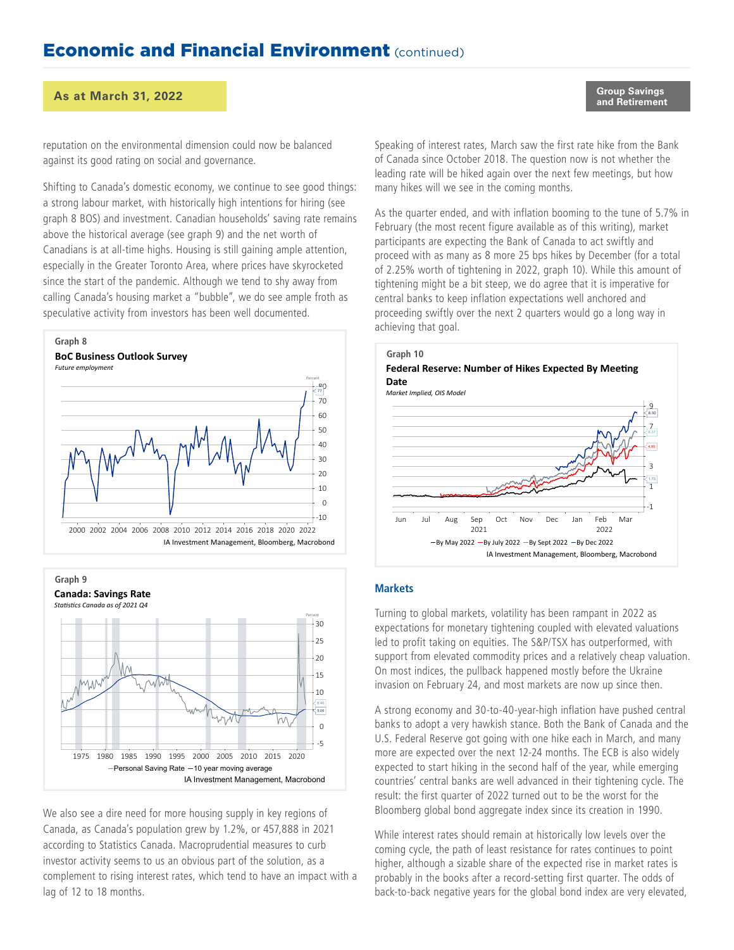#### **and Retirement As at March 31, 2022**

reputation on the environmental dimension could now be balanced against its good rating on social and governance.

Shifting to Canada's domestic economy, we continue to see good things: a strong labour market, with historically high intentions for hiring (see graph 8 BOS) and investment. Canadian households' saving rate remains above the historical average (see graph 9) and the net worth of Canadians is at all-time highs. Housing is still gaining ample attention, especially in the Greater Toronto Area, where prices have skyrocketed since the start of the pandemic. Although we tend to shy away from calling Canada's housing market a "bubble", we do see ample froth as speculative activity from investors has been well documented.





We also see a dire need for more housing supply in key regions of Canada, as Canada's population grew by 1.2%, or 457,888 in 2021 according to Statistics Canada. Macroprudential measures to curb investor activity seems to us an obvious part of the solution, as a complement to rising interest rates, which tend to have an impact with a lag of 12 to 18 months.

**Group Savings**

Speaking of interest rates, March saw the first rate hike from the Bank of Canada since October 2018. The question now is not whether the leading rate will be hiked again over the next few meetings, but how many hikes will we see in the coming months.

As the quarter ended, and with inflation booming to the tune of 5.7% in February (the most recent figure available as of this writing), market participants are expecting the Bank of Canada to act swiftly and proceed with as many as 8 more 25 bps hikes by December (for a total of 2.25% worth of tightening in 2022, graph 10). While this amount of tightening might be a bit steep, we do agree that it is imperative for central banks to keep inflation expectations well anchored and proceeding swiftly over the next 2 quarters would go a long way in achieving that goal.



#### **Markets**

Turning to global markets, volatility has been rampant in 2022 as expectations for monetary tightening coupled with elevated valuations led to profit taking on equities. The S&P/TSX has outperformed, with support from elevated commodity prices and a relatively cheap valuation. On most indices, the pullback happened mostly before the Ukraine invasion on February 24, and most markets are now up since then.

A strong economy and 30-to-40-year-high inflation have pushed central banks to adopt a very hawkish stance. Both the Bank of Canada and the U.S. Federal Reserve got going with one hike each in March, and many more are expected over the next 12-24 months. The ECB is also widely expected to start hiking in the second half of the year, while emerging countries' central banks are well advanced in their tightening cycle. The result: the first quarter of 2022 turned out to be the worst for the Bloomberg global bond aggregate index since its creation in 1990.

While interest rates should remain at historically low levels over the coming cycle, the path of least resistance for rates continues to point higher, although a sizable share of the expected rise in market rates is probably in the books after a record-setting first quarter. The odds of back-to-back negative years for the global bond index are very elevated,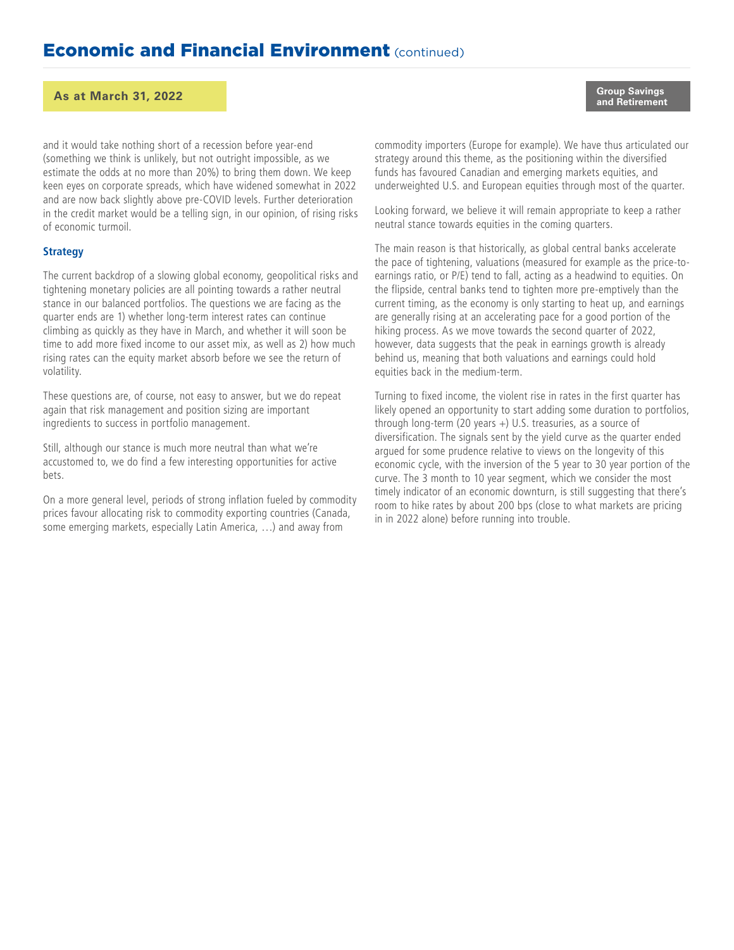#### **and Retirement As at March 31, 2022**

and it would take nothing short of a recession before year-end (something we think is unlikely, but not outright impossible, as we estimate the odds at no more than 20%) to bring them down. We keep keen eyes on corporate spreads, which have widened somewhat in 2022 and are now back slightly above pre-COVID levels. Further deterioration in the credit market would be a telling sign, in our opinion, of rising risks of economic turmoil.

#### **Strategy**

The current backdrop of a slowing global economy, geopolitical risks and tightening monetary policies are all pointing towards a rather neutral stance in our balanced portfolios. The questions we are facing as the quarter ends are 1) whether long-term interest rates can continue climbing as quickly as they have in March, and whether it will soon be time to add more fixed income to our asset mix, as well as 2) how much rising rates can the equity market absorb before we see the return of volatility.

These questions are, of course, not easy to answer, but we do repeat again that risk management and position sizing are important ingredients to success in portfolio management.

Still, although our stance is much more neutral than what we're accustomed to, we do find a few interesting opportunities for active bets.

On a more general level, periods of strong inflation fueled by commodity prices favour allocating risk to commodity exporting countries (Canada, some emerging markets, especially Latin America, …) and away from

**Group Savings**

commodity importers (Europe for example). We have thus articulated our strategy around this theme, as the positioning within the diversified funds has favoured Canadian and emerging markets equities, and underweighted U.S. and European equities through most of the quarter.

Looking forward, we believe it will remain appropriate to keep a rather neutral stance towards equities in the coming quarters.

The main reason is that historically, as global central banks accelerate the pace of tightening, valuations (measured for example as the price-toearnings ratio, or P/E) tend to fall, acting as a headwind to equities. On the flipside, central banks tend to tighten more pre-emptively than the current timing, as the economy is only starting to heat up, and earnings are generally rising at an accelerating pace for a good portion of the hiking process. As we move towards the second quarter of 2022, however, data suggests that the peak in earnings growth is already behind us, meaning that both valuations and earnings could hold equities back in the medium-term.

Turning to fixed income, the violent rise in rates in the first quarter has likely opened an opportunity to start adding some duration to portfolios, through long-term (20 years +) U.S. treasuries, as a source of diversification. The signals sent by the yield curve as the quarter ended argued for some prudence relative to views on the longevity of this economic cycle, with the inversion of the 5 year to 30 year portion of the curve. The 3 month to 10 year segment, which we consider the most timely indicator of an economic downturn, is still suggesting that there's room to hike rates by about 200 bps (close to what markets are pricing in in 2022 alone) before running into trouble.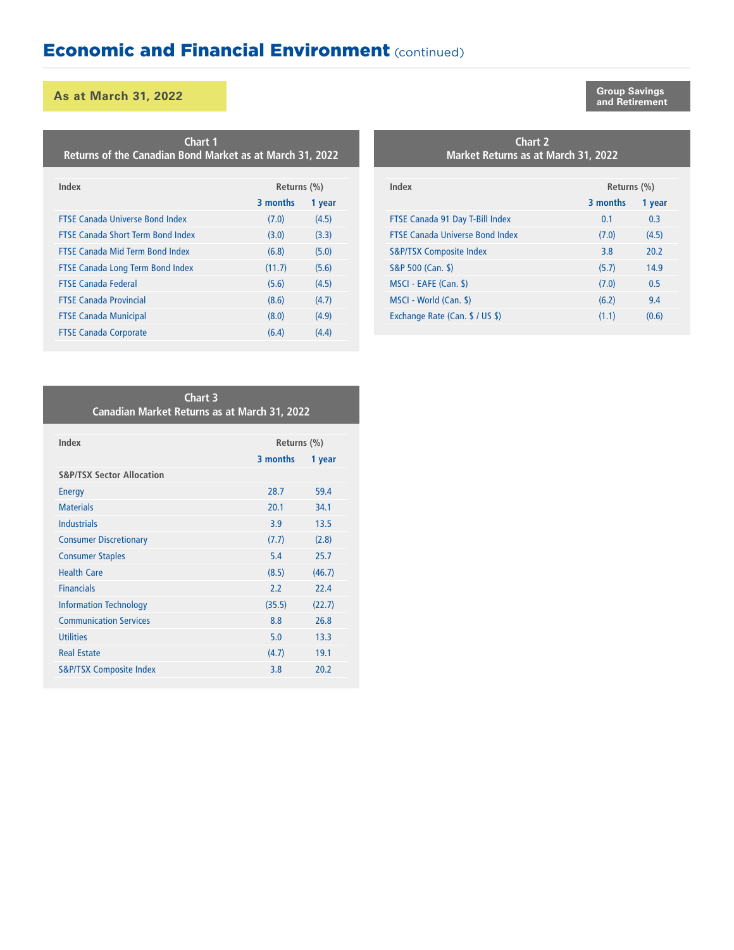#### **and Retirement As at March 31, 2022**

**Index Returns (%) 3 months 1 year** FTSE Canada Universe Bond Index (7.0) (4.5) FTSE Canada Short Term Bond Index (3.0) (3.3) FTSE Canada Mid Term Bond Index (6.8) (5.0) FTSE Canada Long Term Bond Index (11.7) (5.6) FTSE Canada Federal (5.6) (4.5) FTSE Canada Provincial (8.6) (4.7) FTSE Canada Municipal (8.0) (4.9) FTSE Canada Corporate (6.4) (4.4) **Chart 1 Returns of the Canadian Bond Market as at March 31, 2022**

# **Market Returns as at March 31, 2022**

| Index                                  | Returns (%) |        |  |
|----------------------------------------|-------------|--------|--|
|                                        | 3 months    | 1 year |  |
| FTSE Canada 91 Day T-Bill Index        | 0.1         | 0.3    |  |
| <b>FTSE Canada Universe Bond Index</b> | (7.0)       | (4.5)  |  |
| <b>S&amp;P/TSX Composite Index</b>     | 3.8         | 20.2   |  |
| S&P 500 (Can. \$)                      | (5.7)       | 14.9   |  |
| MSCI - EAFE (Can. \$)                  | (7.0)       | 0.5    |  |
| MSCI - World (Can. \$)                 | (6.2)       | 9.4    |  |
| Exchange Rate (Can. \$ / US \$)        | (1.1)       | (0.6)  |  |

#### **Chart 3 Canadian Market Returns as at March 31, 2022**

| Index                                | Returns (%) |        |  |
|--------------------------------------|-------------|--------|--|
|                                      | 3 months    | 1 year |  |
| <b>S&amp;P/TSX Sector Allocation</b> |             |        |  |
| <b>Energy</b>                        | 28.7        | 59.4   |  |
| <b>Materials</b>                     | 20.1        | 34.1   |  |
| <b>Industrials</b>                   | 3.9         | 13.5   |  |
| <b>Consumer Discretionary</b>        | (7.7)       | (2.8)  |  |
| <b>Consumer Staples</b>              | 5.4         | 25.7   |  |
| <b>Health Care</b>                   | (8.5)       | (46.7) |  |
| <b>Financials</b>                    | 2.2         | 22.4   |  |
| <b>Information Technology</b>        | (35.5)      | (22.7) |  |
| <b>Communication Services</b>        | 8.8         | 26.8   |  |
| <b>Utilities</b>                     | 5.0         | 13.3   |  |
| <b>Real Estate</b>                   | (4.7)       | 19.1   |  |
| <b>S&amp;P/TSX Composite Index</b>   | 3.8         | 20.2   |  |

**Chart 2**

**Group Savings**